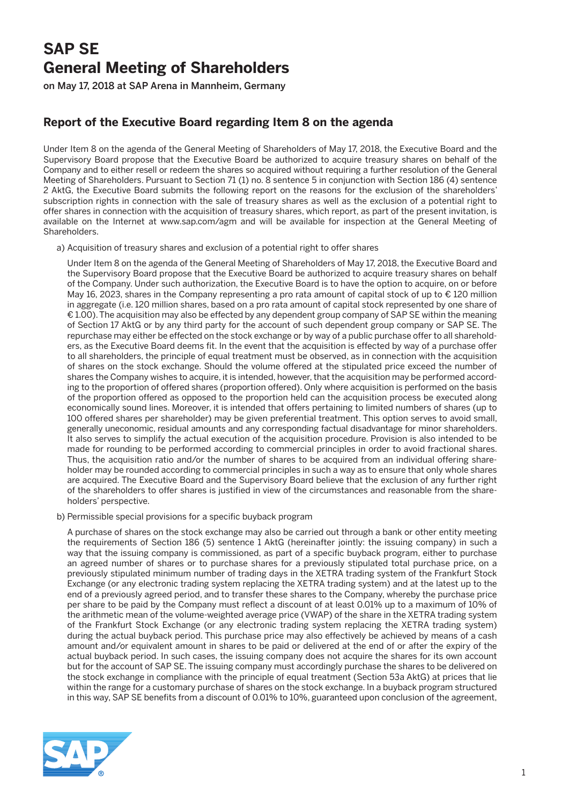## **SAP SE General Meeting of Shareholders**

on May 17, 2018 at SAP Arena in Mannheim, Germany

## **Report of the Executive Board regarding Item 8 on the agenda**

Under Item 8 on the agenda of the General Meeting of Shareholders of May 17, 2018, the Executive Board and the Supervisory Board propose that the Executive Board be authorized to acquire treasury shares on behalf of the Company and to either resell or redeem the shares so acquired without requiring a further resolution of the General Meeting of Shareholders. Pursuant to Section 71 (1) no. 8 sentence 5 in conjunction with Section 186 (4) sentence 2 AktG, the Executive Board submits the following report on the reasons for the exclusion of the shareholders' subscription rights in connection with the sale of treasury shares as well as the exclusion of a potential right to offer shares in connection with the acquisition of treasury shares, which report, as part of the present invitation, is available on the Internet at www.sap.com/agm and will be available for inspection at the General Meeting of Shareholders.

a) Acquisition of treasury shares and exclusion of a potential right to offer shares

 Under Item 8 on the agenda of the General Meeting of Shareholders of May 17, 2018, the Executive Board and the Supervisory Board propose that the Executive Board be authorized to acquire treasury shares on behalf of the Company. Under such authorization, the Executive Board is to have the option to acquire, on or before May 16, 2023, shares in the Company representing a pro rata amount of capital stock of up to € 120 million in aggregate (i.e. 120 million shares, based on a pro rata amount of capital stock represented by one share of € 1.00). The acquisition may also be effected by any dependent group company of SAP SE within the meaning of Section 17 AktG or by any third party for the account of such dependent group company or SAP SE. The repurchase may either be effected on the stock exchange or by way of a public purchase offer to all shareholders, as the Executive Board deems fit. In the event that the acquisition is effected by way of a purchase offer to all shareholders, the principle of equal treatment must be observed, as in connection with the acquisition of shares on the stock exchange. Should the volume offered at the stipulated price exceed the number of shares the Company wishes to acquire, it is intended, however, that the acquisition may be performed according to the proportion of offered shares (proportion offered). Only where acquisition is performed on the basis of the proportion offered as opposed to the proportion held can the acquisition process be executed along economically sound lines. Moreover, it is intended that offers pertaining to limited numbers of shares (up to 100 offered shares per shareholder) may be given preferential treatment. This option serves to avoid small, generally uneconomic, residual amounts and any corresponding factual disadvantage for minor shareholders. It also serves to simplify the actual execution of the acquisition procedure. Provision is also intended to be made for rounding to be performed according to commercial principles in order to avoid fractional shares. Thus, the acquisition ratio and/or the number of shares to be acquired from an individual offering shareholder may be rounded according to commercial principles in such a way as to ensure that only whole shares are acquired. The Executive Board and the Supervisory Board believe that the exclusion of any further right of the shareholders to offer shares is justified in view of the circumstances and reasonable from the shareholders' perspective.

b) Permissible special provisions for a specific buyback program

 A purchase of shares on the stock exchange may also be carried out through a bank or other entity meeting the requirements of Section 186 (5) sentence 1 AktG (hereinafter jointly: the issuing company) in such a way that the issuing company is commissioned, as part of a specific buyback program, either to purchase an agreed number of shares or to purchase shares for a previously stipulated total purchase price, on a previously stipulated minimum number of trading days in the XETRA trading system of the Frankfurt Stock Exchange (or any electronic trading system replacing the XETRA trading system) and at the latest up to the end of a previously agreed period, and to transfer these shares to the Company, whereby the purchase price per share to be paid by the Company must reflect a discount of at least 0.01% up to a maximum of 10% of the arithmetic mean of the volume-weighted average price (VWAP) of the share in the XETRA trading system of the Frankfurt Stock Exchange (or any electronic trading system replacing the XETRA trading system) during the actual buyback period. This purchase price may also effectively be achieved by means of a cash amount and/or equivalent amount in shares to be paid or delivered at the end of or after the expiry of the actual buyback period. In such cases, the issuing company does not acquire the shares for its own account but for the account of SAP SE. The issuing company must accordingly purchase the shares to be delivered on the stock exchange in compliance with the principle of equal treatment (Section 53a AktG) at prices that lie within the range for a customary purchase of shares on the stock exchange. In a buyback program structured in this way, SAP SE benefits from a discount of 0.01% to 10%, guaranteed upon conclusion of the agreement,

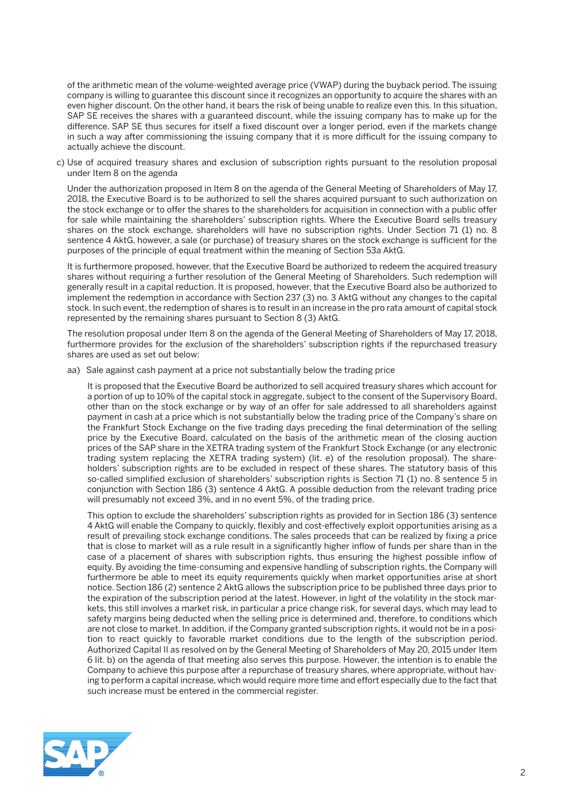of the arithmetic mean of the volume-weighted average price (VWAP) during the buyback period. The issuing company is willing to guarantee this discount since it recognizes an opportunity to acquire the shares with an even higher discount. On the other hand, it bears the risk of being unable to realize even this. In this situation, SAP SE receives the shares with a guaranteed discount, while the issuing company has to make up for the difference. SAP SE thus secures for itself a fixed discount over a longer period, even if the markets change in such a way after commissioning the issuing company that it is more difficult for the issuing company to actually achieve the discount.

 c) Use of acquired treasury shares and exclusion of subscription rights pursuant to the resolution proposal under Item 8 on the agenda

 Under the authorization proposed in Item 8 on the agenda of the General Meeting of Shareholders of May 17, 2018, the Executive Board is to be authorized to sell the shares acquired pursuant to such authorization on the stock exchange or to offer the shares to the shareholders for acquisition in connection with a public offer for sale while maintaining the shareholders' subscription rights. Where the Executive Board sells treasury shares on the stock exchange, shareholders will have no subscription rights. Under Section 71 (1) no. 8 sentence 4 AktG, however, a sale (or purchase) of treasury shares on the stock exchange is sufficient for the purposes of the principle of equal treatment within the meaning of Section 53a AktG.

 It is furthermore proposed, however, that the Executive Board be authorized to redeem the acquired treasury shares without requiring a further resolution of the General Meeting of Shareholders. Such redemption will generally result in a capital reduction. It is proposed, however, that the Executive Board also be authorized to implement the redemption in accordance with Section 237 (3) no. 3 AktG without any changes to the capital stock. In such event, the redemption of shares is to result in an increase in the pro rata amount of capital stock represented by the remaining shares pursuant to Section 8 (3) AktG.

The resolution proposal under Item 8 on the agenda of the General Meeting of Shareholders of May 17, 2018, furthermore provides for the exclusion of the shareholders' subscription rights if the repurchased treasury shares are used as set out below:

aa) Sale against cash payment at a price not substantially below the trading price

 It is proposed that the Executive Board be authorized to sell acquired treasury shares which account for a portion of up to 10% of the capital stock in aggregate, subject to the consent of the Supervisory Board, other than on the stock exchange or by way of an offer for sale addressed to all shareholders against payment in cash at a price which is not substantially below the trading price of the Company's share on the Frankfurt Stock Exchange on the five trading days preceding the final determination of the selling price by the Executive Board, calculated on the basis of the arithmetic mean of the closing auction prices of the SAP share in the XETRA trading system of the Frankfurt Stock Exchange (or any electronic trading system replacing the XETRA trading system) (lit. e) of the resolution proposal). The shareholders' subscription rights are to be excluded in respect of these shares. The statutory basis of this so-called simplified exclusion of shareholders' subscription rights is Section 71 (1) no. 8 sentence 5 in conjunction with Section 186 (3) sentence 4 AktG. A possible deduction from the relevant trading price will presumably not exceed 3%, and in no event 5%, of the trading price.

 This option to exclude the shareholders' subscription rights as provided for in Section 186 (3) sentence 4 AktG will enable the Company to quickly, flexibly and cost-effectively exploit opportunities arising as a result of prevailing stock exchange conditions. The sales proceeds that can be realized by fixing a price that is close to market will as a rule result in a significantly higher inflow of funds per share than in the case of a placement of shares with subscription rights, thus ensuring the highest possible inflow of equity. By avoiding the time-consuming and expensive handling of subscription rights, the Company will furthermore be able to meet its equity requirements quickly when market opportunities arise at short notice. Section 186 (2) sentence 2 AktG allows the subscription price to be published three days prior to the expiration of the subscription period at the latest. However, in light of the volatility in the stock markets, this still involves a market risk, in particular a price change risk, for several days, which may lead to safety margins being deducted when the selling price is determined and, therefore, to conditions which are not close to market. In addition, if the Company granted subscription rights, it would not be in a position to react quickly to favorable market conditions due to the length of the subscription period. Authorized Capital II as resolved on by the General Meeting of Shareholders of May 20, 2015 under Item 6 lit. b) on the agenda of that meeting also serves this purpose. However, the intention is to enable the Company to achieve this purpose after a repurchase of treasury shares, where appropriate, without having to perform a capital increase, which would require more time and effort especially due to the fact that such increase must be entered in the commercial register.

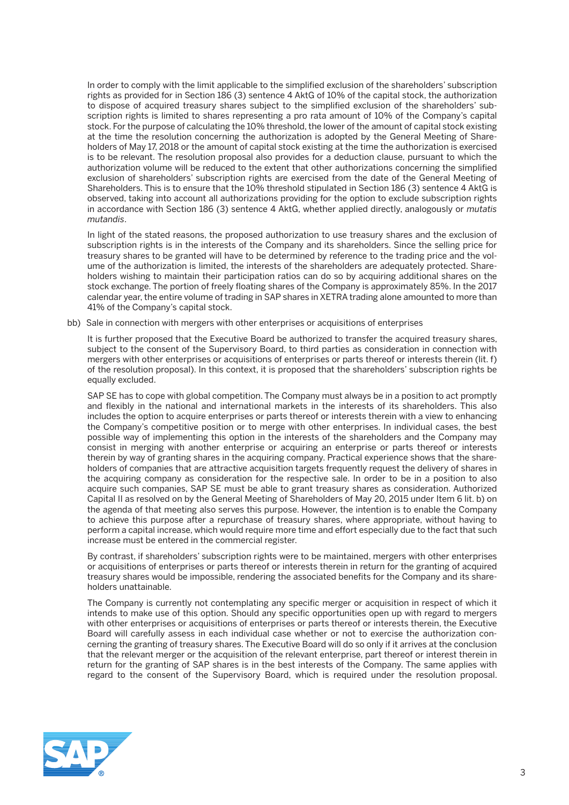In order to comply with the limit applicable to the simplified exclusion of the shareholders' subscription rights as provided for in Section 186 (3) sentence 4 AktG of 10% of the capital stock, the authorization to dispose of acquired treasury shares subject to the simplified exclusion of the shareholders' subscription rights is limited to shares representing a pro rata amount of 10% of the Company's capital stock. For the purpose of calculating the 10% threshold, the lower of the amount of capital stock existing at the time the resolution concerning the authorization is adopted by the General Meeting of Shareholders of May 17, 2018 or the amount of capital stock existing at the time the authorization is exercised is to be relevant. The resolution proposal also provides for a deduction clause, pursuant to which the authorization volume will be reduced to the extent that other authorizations concerning the simplified exclusion of shareholders' subscription rights are exercised from the date of the General Meeting of Shareholders. This is to ensure that the 10% threshold stipulated in Section 186 (3) sentence 4 AktG is observed, taking into account all authorizations providing for the option to exclude subscription rights in accordance with Section 186 (3) sentence 4 AktG, whether applied directly, analogously or *mutatis mutandis*.

 In light of the stated reasons, the proposed authorization to use treasury shares and the exclusion of subscription rights is in the interests of the Company and its shareholders. Since the selling price for treasury shares to be granted will have to be determined by reference to the trading price and the volume of the authorization is limited, the interests of the shareholders are adequately protected. Shareholders wishing to maintain their participation ratios can do so by acquiring additional shares on the stock exchange. The portion of freely floating shares of the Company is approximately 85%. In the 2017 calendar year, the entire volume of trading in SAP shares in XETRA trading alone amounted to more than 41% of the Company's capital stock.

bb) Sale in connection with mergers with other enterprises or acquisitions of enterprises

 It is further proposed that the Executive Board be authorized to transfer the acquired treasury shares, subject to the consent of the Supervisory Board, to third parties as consideration in connection with mergers with other enterprises or acquisitions of enterprises or parts thereof or interests therein (lit. f) of the resolution proposal). In this context, it is proposed that the shareholders' subscription rights be equally excluded.

SAP SE has to cope with global competition. The Company must always be in a position to act promptly and flexibly in the national and international markets in the interests of its shareholders. This also includes the option to acquire enterprises or parts thereof or interests therein with a view to enhancing the Company's competitive position or to merge with other enterprises. In individual cases, the best possible way of implementing this option in the interests of the shareholders and the Company may consist in merging with another enterprise or acquiring an enterprise or parts thereof or interests therein by way of granting shares in the acquiring company. Practical experience shows that the shareholders of companies that are attractive acquisition targets frequently request the delivery of shares in the acquiring company as consideration for the respective sale. In order to be in a position to also acquire such companies, SAP SE must be able to grant treasury shares as consideration. Authorized Capital II as resolved on by the General Meeting of Shareholders of May 20, 2015 under Item 6 lit. b) on the agenda of that meeting also serves this purpose. However, the intention is to enable the Company to achieve this purpose after a repurchase of treasury shares, where appropriate, without having to perform a capital increase, which would require more time and effort especially due to the fact that such increase must be entered in the commercial register.

 By contrast, if shareholders' subscription rights were to be maintained, mergers with other enterprises or acquisitions of enterprises or parts thereof or interests therein in return for the granting of acquired treasury shares would be impossible, rendering the associated benefits for the Company and its shareholders unattainable.

 The Company is currently not contemplating any specific merger or acquisition in respect of which it intends to make use of this option. Should any specific opportunities open up with regard to mergers with other enterprises or acquisitions of enterprises or parts thereof or interests therein, the Executive Board will carefully assess in each individual case whether or not to exercise the authorization concerning the granting of treasury shares. The Executive Board will do so only if it arrives at the conclusion that the relevant merger or the acquisition of the relevant enterprise, part thereof or interest therein in return for the granting of SAP shares is in the best interests of the Company. The same applies with regard to the consent of the Supervisory Board, which is required under the resolution proposal.

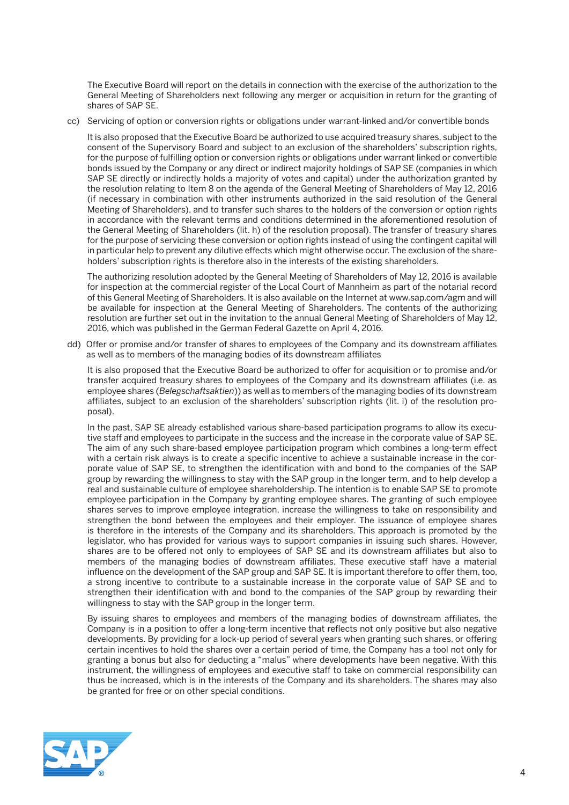The Executive Board will report on the details in connection with the exercise of the authorization to the General Meeting of Shareholders next following any merger or acquisition in return for the granting of shares of SAP SE.

cc) Servicing of option or conversion rights or obligations under warrant-linked and/or convertible bonds

 It is also proposed that the Executive Board be authorized to use acquired treasury shares, subject to the consent of the Supervisory Board and subject to an exclusion of the shareholders' subscription rights, for the purpose of fulfilling option or conversion rights or obligations under warrant linked or convertible bonds issued by the Company or any direct or indirect majority holdings of SAP SE (companies in which SAP SE directly or indirectly holds a majority of votes and capital) under the authorization granted by the resolution relating to Item 8 on the agenda of the General Meeting of Shareholders of May 12, 2016 (if necessary in combination with other instruments authorized in the said resolution of the General Meeting of Shareholders), and to transfer such shares to the holders of the conversion or option rights in accordance with the relevant terms and conditions determined in the aforementioned resolution of the General Meeting of Shareholders (lit. h) of the resolution proposal). The transfer of treasury shares for the purpose of servicing these conversion or option rights instead of using the contingent capital will in particular help to prevent any dilutive effects which might otherwise occur. The exclusion of the shareholders' subscription rights is therefore also in the interests of the existing shareholders.

 The authorizing resolution adopted by the General Meeting of Shareholders of May 12, 2016 is available for inspection at the commercial register of the Local Court of Mannheim as part of the notarial record of this General Meeting of Shareholders. It is also available on the Internet at www.sap.com/agm and will be available for inspection at the General Meeting of Shareholders. The contents of the authorizing resolution are further set out in the invitation to the annual General Meeting of Shareholders of May 12, 2016, which was published in the German Federal Gazette on April 4, 2016.

 dd) Offer or promise and/or transfer of shares to employees of the Company and its downstream affiliates as well as to members of the managing bodies of its downstream affiliates

 It is also proposed that the Executive Board be authorized to offer for acquisition or to promise and/or transfer acquired treasury shares to employees of the Company and its downstream affiliates (i.e. as employee shares (*Belegschaftsaktien*)) as well as to members of the managing bodies of its downstream affiliates, subject to an exclusion of the shareholders' subscription rights (lit. i) of the resolution proposal).

 In the past, SAP SE already established various share-based participation programs to allow its executive staff and employees to participate in the success and the increase in the corporate value of SAP SE. The aim of any such share-based employee participation program which combines a long-term effect with a certain risk always is to create a specific incentive to achieve a sustainable increase in the corporate value of SAP SE, to strengthen the identification with and bond to the companies of the SAP group by rewarding the willingness to stay with the SAP group in the longer term, and to help develop a real and sustainable culture of employee shareholdership. The intention is to enable SAP SE to promote employee participation in the Company by granting employee shares. The granting of such employee shares serves to improve employee integration, increase the willingness to take on responsibility and strengthen the bond between the employees and their employer. The issuance of employee shares is therefore in the interests of the Company and its shareholders. This approach is promoted by the legislator, who has provided for various ways to support companies in issuing such shares. However, shares are to be offered not only to employees of SAP SE and its downstream affiliates but also to members of the managing bodies of downstream affiliates. These executive staff have a material influence on the development of the SAP group and SAP SE. It is important therefore to offer them, too, a strong incentive to contribute to a sustainable increase in the corporate value of SAP SE and to strengthen their identification with and bond to the companies of the SAP group by rewarding their willingness to stay with the SAP group in the longer term.

 By issuing shares to employees and members of the managing bodies of downstream affiliates, the Company is in a position to offer a long-term incentive that reflects not only positive but also negative developments. By providing for a lock-up period of several years when granting such shares, or offering certain incentives to hold the shares over a certain period of time, the Company has a tool not only for granting a bonus but also for deducting a "malus" where developments have been negative. With this instrument, the willingness of employees and executive staff to take on commercial responsibility can thus be increased, which is in the interests of the Company and its shareholders. The shares may also be granted for free or on other special conditions.